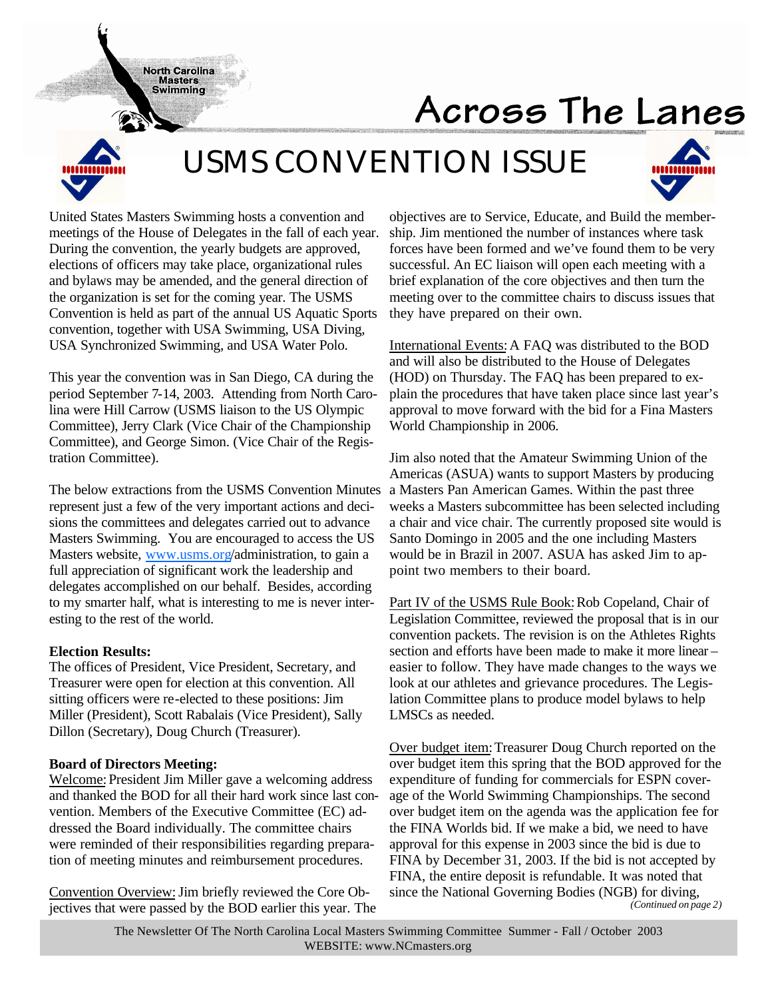# Across The Lanes

# *USMS CONVENTION ISSUE*



United States Masters Swimming hosts a convention and meetings of the House of Delegates in the fall of each year. During the convention, the yearly budgets are approved, elections of officers may take place, organizational rules and bylaws may be amended, and the general direction of the organization is set for the coming year. The USMS Convention is held as part of the annual US Aquatic Sports convention, together with USA Swimming, USA Diving, USA Synchronized Swimming, and USA Water Polo.

**North Carolina Masters Swimming** 

This year the convention was in San Diego, CA during the period September 7-14, 2003. Attending from North Carolina were Hill Carrow (USMS liaison to the US Olympic Committee), Jerry Clark (Vice Chair of the Championship Committee), and George Simon. (Vice Chair of the Registration Committee).

The below extractions from the USMS Convention Minutes represent just a few of the very important actions and decisions the committees and delegates carried out to advance Masters Swimming. You are encouraged to access the US Masters website, www.usms.org/administration, to gain a full appreciation of significant work the leadership and delegates accomplished on our behalf. Besides, according to my smarter half, what is interesting to me is never interesting to the rest of the world.

# **Election Results:**

The offices of President, Vice President, Secretary, and Treasurer were open for election at this convention. All sitting officers were re-elected to these positions: Jim Miller (President), Scott Rabalais (Vice President), Sally Dillon (Secretary), Doug Church (Treasurer).

# **Board of Directors Meeting:**

Welcome: President Jim Miller gave a welcoming address and thanked the BOD for all their hard work since last convention. Members of the Executive Committee (EC) addressed the Board individually. The committee chairs were reminded of their responsibilities regarding preparation of meeting minutes and reimbursement procedures.

Convention Overview: Jim briefly reviewed the Core Objectives that were passed by the BOD earlier this year. The objectives are to Service, Educate, and Build the membership. Jim mentioned the number of instances where task forces have been formed and we've found them to be very successful. An EC liaison will open each meeting with a brief explanation of the core objectives and then turn the meeting over to the committee chairs to discuss issues that they have prepared on their own.

International Events:A FAQ was distributed to the BOD and will also be distributed to the House of Delegates (HOD) on Thursday. The FAQ has been prepared to explain the procedures that have taken place since last year's approval to move forward with the bid for a Fina Masters World Championship in 2006.

Jim also noted that the Amateur Swimming Union of the Americas (ASUA) wants to support Masters by producing a Masters Pan American Games. Within the past three weeks a Masters subcommittee has been selected including a chair and vice chair. The currently proposed site would is Santo Domingo in 2005 and the one including Masters would be in Brazil in 2007. ASUA has asked Jim to appoint two members to their board.

Part IV of the USMS Rule Book: Rob Copeland, Chair of Legislation Committee, reviewed the proposal that is in our convention packets. The revision is on the Athletes Rights section and efforts have been made to make it more linear – easier to follow. They have made changes to the ways we look at our athletes and grievance procedures. The Legislation Committee plans to produce model bylaws to help LMSCs as needed.

Over budget item:Treasurer Doug Church reported on the over budget item this spring that the BOD approved for the expenditure of funding for commercials for ESPN coverage of the World Swimming Championships. The second over budget item on the agenda was the application fee for the FINA Worlds bid. If we make a bid, we need to have approval for this expense in 2003 since the bid is due to FINA by December 31, 2003. If the bid is not accepted by FINA, the entire deposit is refundable. It was noted that since the National Governing Bodies (NGB) for diving, *(Continued on page 2)*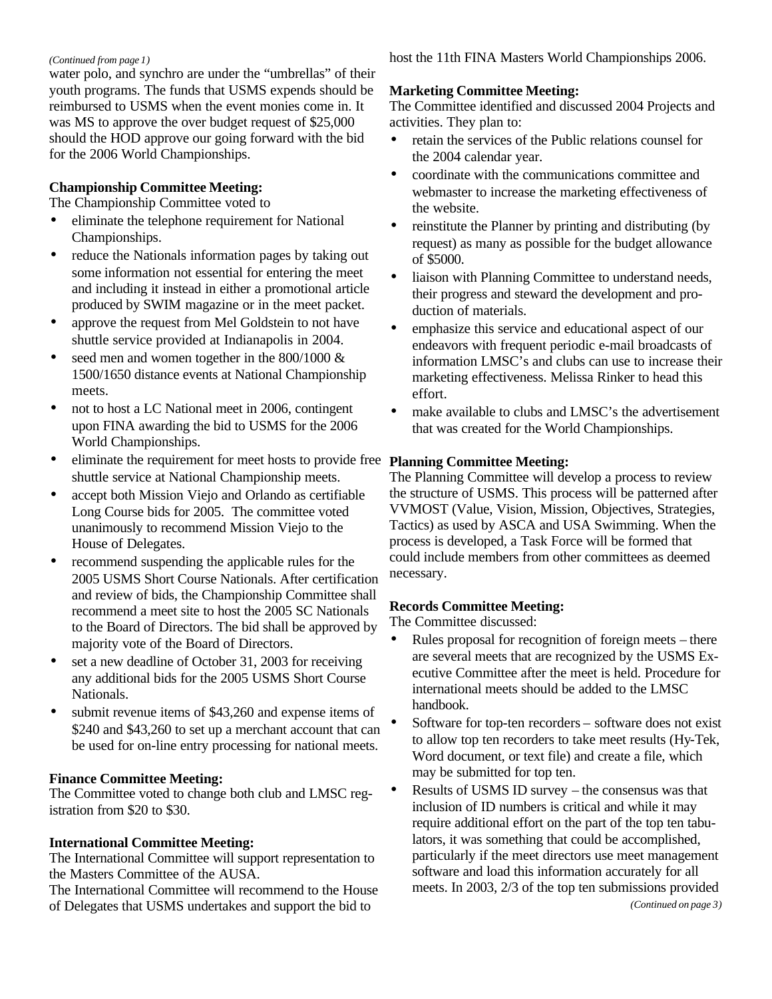#### *(Continued from page 1)*

water polo, and synchro are under the "umbrellas" of their youth programs. The funds that USMS expends should be reimbursed to USMS when the event monies come in. It was MS to approve the over budget request of \$25,000 should the HOD approve our going forward with the bid for the 2006 World Championships.

# **Championship Committee Meeting:**

The Championship Committee voted to

- eliminate the telephone requirement for National Championships.
- reduce the Nationals information pages by taking out some information not essential for entering the meet and including it instead in either a promotional article produced by SWIM magazine or in the meet packet.
- approve the request from Mel Goldstein to not have shuttle service provided at Indianapolis in 2004.
- seed men and women together in the  $800/1000 \&$ 1500/1650 distance events at National Championship meets.
- not to host a LC National meet in 2006, contingent upon FINA awarding the bid to USMS for the 2006 World Championships.
- eliminate the requirement for meet hosts to provide free **Planning Committee Meeting:** shuttle service at National Championship meets.
- accept both Mission Viejo and Orlando as certifiable Long Course bids for 2005. The committee voted unanimously to recommend Mission Viejo to the House of Delegates.
- recommend suspending the applicable rules for the 2005 USMS Short Course Nationals. After certification and review of bids, the Championship Committee shall recommend a meet site to host the 2005 SC Nationals to the Board of Directors. The bid shall be approved by majority vote of the Board of Directors.
- set a new deadline of October 31, 2003 for receiving any additional bids for the 2005 USMS Short Course Nationals.
- submit revenue items of \$43,260 and expense items of \$240 and \$43,260 to set up a merchant account that can be used for on-line entry processing for national meets.

# **Finance Committee Meeting:**

The Committee voted to change both club and LMSC registration from \$20 to \$30.

# **International Committee Meeting:**

The International Committee will support representation to the Masters Committee of the AUSA.

The International Committee will recommend to the House of Delegates that USMS undertakes and support the bid to

host the 11th FINA Masters World Championships 2006.

# **Marketing Committee Meeting:**

The Committee identified and discussed 2004 Projects and activities. They plan to:

- retain the services of the Public relations counsel for the 2004 calendar year.
- coordinate with the communications committee and webmaster to increase the marketing effectiveness of the website.
- reinstitute the Planner by printing and distributing (by request) as many as possible for the budget allowance of \$5000.
- liaison with Planning Committee to understand needs, their progress and steward the development and production of materials.
- emphasize this service and educational aspect of our endeavors with frequent periodic e-mail broadcasts of information LMSC's and clubs can use to increase their marketing effectiveness. Melissa Rinker to head this effort.
- make available to clubs and LMSC's the advertisement that was created for the World Championships.

The Planning Committee will develop a process to review the structure of USMS. This process will be patterned after VVMOST (Value, Vision, Mission, Objectives, Strategies, Tactics) as used by ASCA and USA Swimming. When the process is developed, a Task Force will be formed that could include members from other committees as deemed necessary.

# **Records Committee Meeting:**

The Committee discussed:

- Rules proposal for recognition of foreign meets there are several meets that are recognized by the USMS Executive Committee after the meet is held. Procedure for international meets should be added to the LMSC handbook.
- Software for top-ten recorders software does not exist to allow top ten recorders to take meet results (Hy-Tek, Word document, or text file) and create a file, which may be submitted for top ten.
- Results of USMS ID survey the consensus was that inclusion of ID numbers is critical and while it may require additional effort on the part of the top ten tabulators, it was something that could be accomplished, particularly if the meet directors use meet management software and load this information accurately for all meets. In 2003, 2/3 of the top ten submissions provided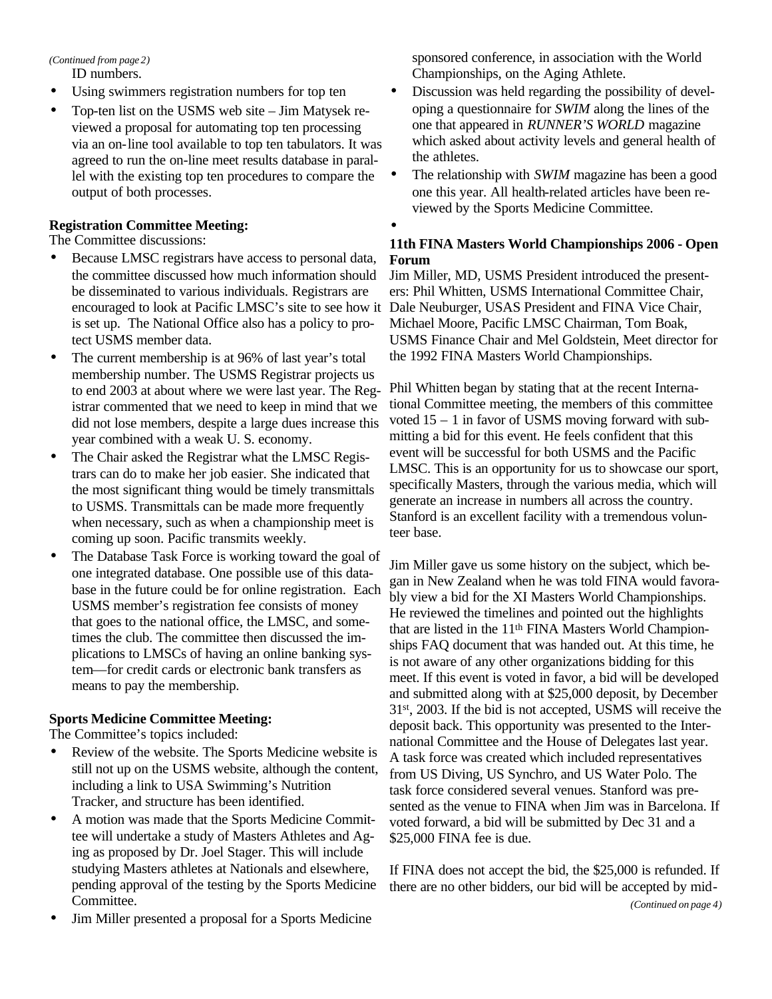*(Continued from page 2)*

ID numbers.

- Using swimmers registration numbers for top ten
- Top-ten list on the USMS web site Jim Matysek reviewed a proposal for automating top ten processing via an on-line tool available to top ten tabulators. It was agreed to run the on-line meet results database in parallel with the existing top ten procedures to compare the output of both processes.

# **Registration Committee Meeting:**

The Committee discussions:

- Because LMSC registrars have access to personal data, the committee discussed how much information should be disseminated to various individuals. Registrars are encouraged to look at Pacific LMSC's site to see how it is set up. The National Office also has a policy to protect USMS member data.
- The current membership is at 96% of last year's total membership number. The USMS Registrar projects us to end 2003 at about where we were last year. The Registrar commented that we need to keep in mind that we did not lose members, despite a large dues increase this year combined with a weak U. S. economy.
- The Chair asked the Registrar what the LMSC Registrars can do to make her job easier. She indicated that the most significant thing would be timely transmittals to USMS. Transmittals can be made more frequently when necessary, such as when a championship meet is coming up soon. Pacific transmits weekly.
- The Database Task Force is working toward the goal of one integrated database. One possible use of this database in the future could be for online registration. Each USMS member's registration fee consists of money that goes to the national office, the LMSC, and sometimes the club. The committee then discussed the implications to LMSCs of having an online banking system—for credit cards or electronic bank transfers as means to pay the membership.

# **Sports Medicine Committee Meeting:**

The Committee's topics included:

- Review of the website. The Sports Medicine website is still not up on the USMS website, although the content, including a link to USA Swimming's Nutrition Tracker, and structure has been identified.
- A motion was made that the Sports Medicine Committee will undertake a study of Masters Athletes and Aging as proposed by Dr. Joel Stager. This will include studying Masters athletes at Nationals and elsewhere, pending approval of the testing by the Sports Medicine Committee.
- Jim Miller presented a proposal for a Sports Medicine

sponsored conference, in association with the World Championships, on the Aging Athlete.

- Discussion was held regarding the possibility of developing a questionnaire for *SWIM* along the lines of the one that appeared in *RUNNER'S WORLD* magazine which asked about activity levels and general health of the athletes.
- The relationship with *SWIM* magazine has been a good one this year. All health-related articles have been reviewed by the Sports Medicine Committee.

# **11th FINA Masters World Championships 2006 - Open Forum**

•

Jim Miller, MD, USMS President introduced the presenters: Phil Whitten, USMS International Committee Chair, Dale Neuburger, USAS President and FINA Vice Chair, Michael Moore, Pacific LMSC Chairman, Tom Boak, USMS Finance Chair and Mel Goldstein, Meet director for the 1992 FINA Masters World Championships.

Phil Whitten began by stating that at the recent International Committee meeting, the members of this committee voted 15 – 1 in favor of USMS moving forward with submitting a bid for this event. He feels confident that this event will be successful for both USMS and the Pacific LMSC. This is an opportunity for us to showcase our sport, specifically Masters, through the various media, which will generate an increase in numbers all across the country. Stanford is an excellent facility with a tremendous volunteer base.

Jim Miller gave us some history on the subject, which began in New Zealand when he was told FINA would favorably view a bid for the XI Masters World Championships. He reviewed the timelines and pointed out the highlights that are listed in the 11th FINA Masters World Championships FAQ document that was handed out. At this time, he is not aware of any other organizations bidding for this meet. If this event is voted in favor, a bid will be developed and submitted along with at \$25,000 deposit, by December 31st, 2003. If the bid is not accepted, USMS will receive the deposit back. This opportunity was presented to the International Committee and the House of Delegates last year. A task force was created which included representatives from US Diving, US Synchro, and US Water Polo. The task force considered several venues. Stanford was presented as the venue to FINA when Jim was in Barcelona. If voted forward, a bid will be submitted by Dec 31 and a \$25,000 FINA fee is due.

If FINA does not accept the bid, the \$25,000 is refunded. If there are no other bidders, our bid will be accepted by mid-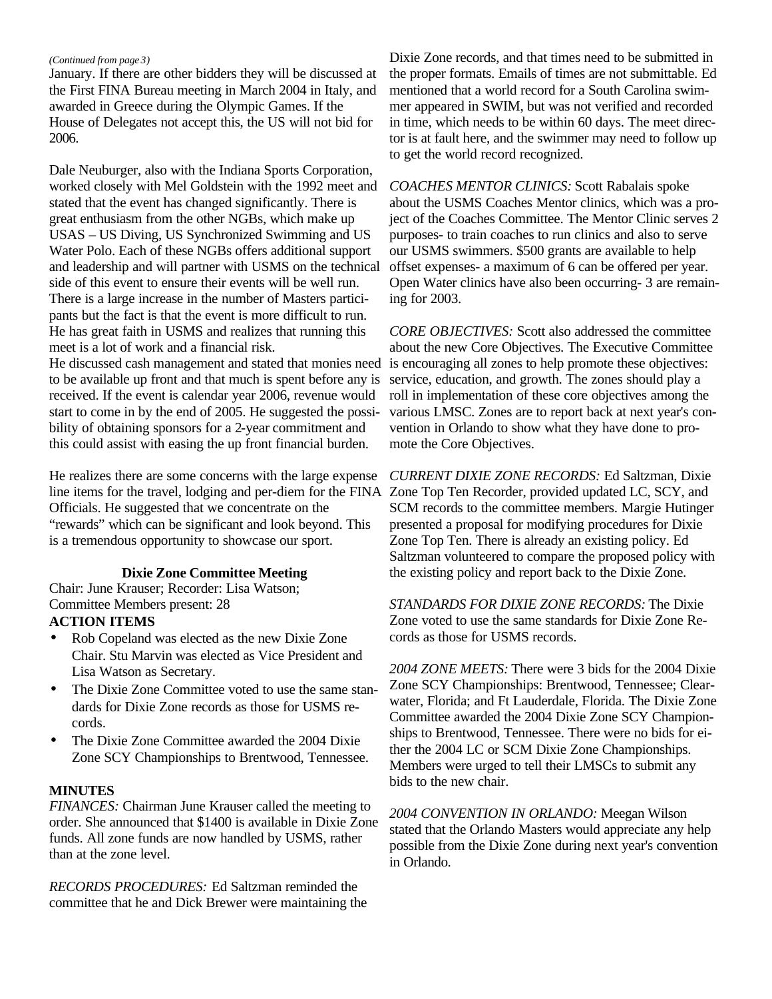#### *(Continued from page 3)*

January. If there are other bidders they will be discussed at the First FINA Bureau meeting in March 2004 in Italy, and awarded in Greece during the Olympic Games. If the House of Delegates not accept this, the US will not bid for 2006.

Dale Neuburger, also with the Indiana Sports Corporation, worked closely with Mel Goldstein with the 1992 meet and stated that the event has changed significantly. There is great enthusiasm from the other NGBs, which make up USAS – US Diving, US Synchronized Swimming and US Water Polo. Each of these NGBs offers additional support and leadership and will partner with USMS on the technical side of this event to ensure their events will be well run. There is a large increase in the number of Masters participants but the fact is that the event is more difficult to run. He has great faith in USMS and realizes that running this meet is a lot of work and a financial risk.

He discussed cash management and stated that monies need to be available up front and that much is spent before any is received. If the event is calendar year 2006, revenue would start to come in by the end of 2005. He suggested the possibility of obtaining sponsors for a 2-year commitment and this could assist with easing the up front financial burden.

He realizes there are some concerns with the large expense line items for the travel, lodging and per-diem for the FINA Officials. He suggested that we concentrate on the "rewards" which can be significant and look beyond. This is a tremendous opportunity to showcase our sport.

# **Dixie Zone Committee Meeting**

Chair: June Krauser; Recorder: Lisa Watson; Committee Members present: 28

# **ACTION ITEMS**

- Rob Copeland was elected as the new Dixie Zone Chair. Stu Marvin was elected as Vice President and Lisa Watson as Secretary.
- The Dixie Zone Committee voted to use the same standards for Dixie Zone records as those for USMS records.
- The Dixie Zone Committee awarded the 2004 Dixie Zone SCY Championships to Brentwood, Tennessee.

#### **MINUTES**

*FINANCES:* Chairman June Krauser called the meeting to order. She announced that \$1400 is available in Dixie Zone funds. All zone funds are now handled by USMS, rather than at the zone level.

*RECORDS PROCEDURES:* Ed Saltzman reminded the committee that he and Dick Brewer were maintaining the Dixie Zone records, and that times need to be submitted in the proper formats. Emails of times are not submittable. Ed mentioned that a world record for a South Carolina swimmer appeared in SWIM, but was not verified and recorded in time, which needs to be within 60 days. The meet director is at fault here, and the swimmer may need to follow up to get the world record recognized.

*COACHES MENTOR CLINICS:* Scott Rabalais spoke about the USMS Coaches Mentor clinics, which was a project of the Coaches Committee. The Mentor Clinic serves 2 purposes- to train coaches to run clinics and also to serve our USMS swimmers. \$500 grants are available to help offset expenses- a maximum of 6 can be offered per year. Open Water clinics have also been occurring- 3 are remaining for 2003.

*CORE OBJECTIVES:* Scott also addressed the committee about the new Core Objectives. The Executive Committee is encouraging all zones to help promote these objectives: service, education, and growth. The zones should play a roll in implementation of these core objectives among the various LMSC. Zones are to report back at next year's convention in Orlando to show what they have done to promote the Core Objectives.

*CURRENT DIXIE ZONE RECORDS:* Ed Saltzman, Dixie Zone Top Ten Recorder, provided updated LC, SCY, and SCM records to the committee members. Margie Hutinger presented a proposal for modifying procedures for Dixie Zone Top Ten. There is already an existing policy. Ed Saltzman volunteered to compare the proposed policy with the existing policy and report back to the Dixie Zone.

*STANDARDS FOR DIXIE ZONE RECORDS:* The Dixie Zone voted to use the same standards for Dixie Zone Records as those for USMS records.

*2004 ZONE MEETS:* There were 3 bids for the 2004 Dixie Zone SCY Championships: Brentwood, Tennessee; Clearwater, Florida; and Ft Lauderdale, Florida. The Dixie Zone Committee awarded the 2004 Dixie Zone SCY Championships to Brentwood, Tennessee. There were no bids for either the 2004 LC or SCM Dixie Zone Championships. Members were urged to tell their LMSCs to submit any bids to the new chair.

*2004 CONVENTION IN ORLANDO:* Meegan Wilson stated that the Orlando Masters would appreciate any help possible from the Dixie Zone during next year's convention in Orlando.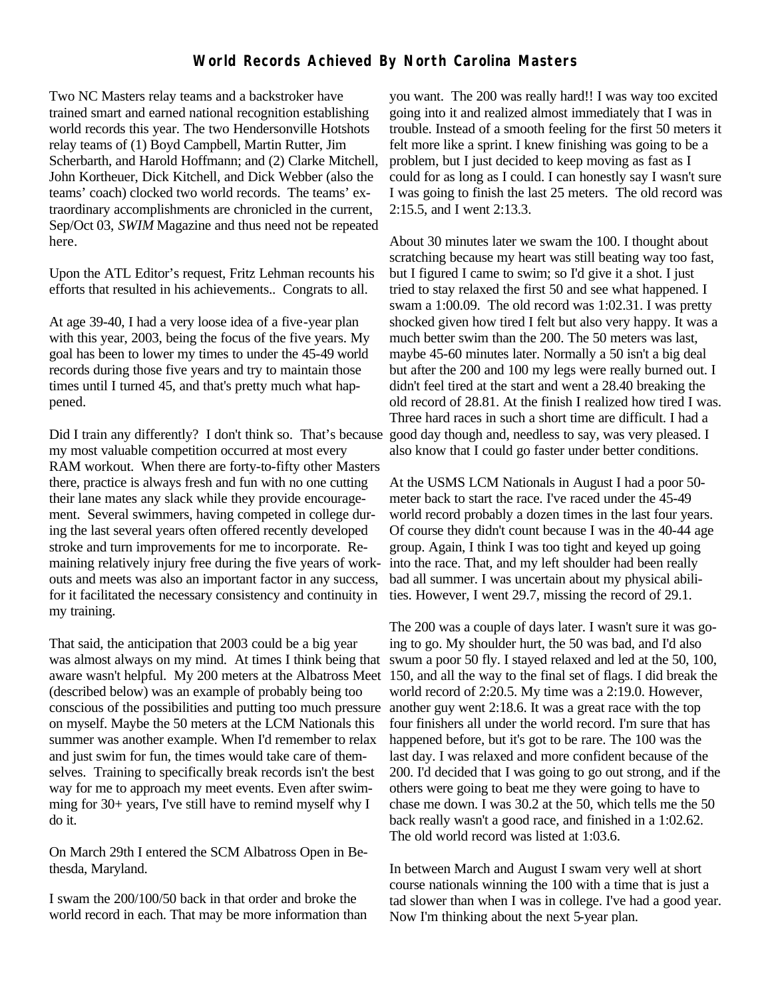# **World Records Achieved By North Carolina Masters**

Two NC Masters relay teams and a backstroker have trained smart and earned national recognition establishing world records this year. The two Hendersonville Hotshots relay teams of (1) Boyd Campbell, Martin Rutter, Jim Scherbarth, and Harold Hoffmann; and (2) Clarke Mitchell, John Kortheuer, Dick Kitchell, and Dick Webber (also the teams' coach) clocked two world records. The teams' extraordinary accomplishments are chronicled in the current, Sep/Oct 03, *SWIM* Magazine and thus need not be repeated here.

Upon the ATL Editor's request, Fritz Lehman recounts his efforts that resulted in his achievements.. Congrats to all.

At age 39-40, I had a very loose idea of a five-year plan with this year, 2003, being the focus of the five years. My goal has been to lower my times to under the 45-49 world records during those five years and try to maintain those times until I turned 45, and that's pretty much what happened.

Did I train any differently? I don't think so. That's because my most valuable competition occurred at most every RAM workout. When there are forty-to-fifty other Masters there, practice is always fresh and fun with no one cutting their lane mates any slack while they provide encouragement. Several swimmers, having competed in college during the last several years often offered recently developed stroke and turn improvements for me to incorporate. Remaining relatively injury free during the five years of workouts and meets was also an important factor in any success, for it facilitated the necessary consistency and continuity in my training.

That said, the anticipation that 2003 could be a big year was almost always on my mind. At times I think being that (described below) was an example of probably being too conscious of the possibilities and putting too much pressure on myself. Maybe the 50 meters at the LCM Nationals this summer was another example. When I'd remember to relax and just swim for fun, the times would take care of themselves. Training to specifically break records isn't the best way for me to approach my meet events. Even after swimming for 30+ years, I've still have to remind myself why I do it.

On March 29th I entered the SCM Albatross Open in Bethesda, Maryland.

I swam the 200/100/50 back in that order and broke the world record in each. That may be more information than you want. The 200 was really hard!! I was way too excited going into it and realized almost immediately that I was in trouble. Instead of a smooth feeling for the first 50 meters it felt more like a sprint. I knew finishing was going to be a problem, but I just decided to keep moving as fast as I could for as long as I could. I can honestly say I wasn't sure I was going to finish the last 25 meters. The old record was 2:15.5, and I went 2:13.3.

About 30 minutes later we swam the 100. I thought about scratching because my heart was still beating way too fast, but I figured I came to swim; so I'd give it a shot. I just tried to stay relaxed the first 50 and see what happened. I swam a 1:00.09. The old record was 1:02.31. I was pretty shocked given how tired I felt but also very happy. It was a much better swim than the 200. The 50 meters was last, maybe 45-60 minutes later. Normally a 50 isn't a big deal but after the 200 and 100 my legs were really burned out. I didn't feel tired at the start and went a 28.40 breaking the old record of 28.81. At the finish I realized how tired I was. Three hard races in such a short time are difficult. I had a good day though and, needless to say, was very pleased. I also know that I could go faster under better conditions.

At the USMS LCM Nationals in August I had a poor 50 meter back to start the race. I've raced under the 45-49 world record probably a dozen times in the last four years. Of course they didn't count because I was in the 40-44 age group. Again, I think I was too tight and keyed up going into the race. That, and my left shoulder had been really bad all summer. I was uncertain about my physical abilities. However, I went 29.7, missing the record of 29.1.

aware wasn't helpful. My 200 meters at the Albatross Meet 150, and all the way to the final set of flags. I did break the The 200 was a couple of days later. I wasn't sure it was going to go. My shoulder hurt, the 50 was bad, and I'd also swum a poor 50 fly. I stayed relaxed and led at the 50, 100, world record of 2:20.5. My time was a 2:19.0. However, another guy went 2:18.6. It was a great race with the top four finishers all under the world record. I'm sure that has happened before, but it's got to be rare. The 100 was the last day. I was relaxed and more confident because of the 200. I'd decided that I was going to go out strong, and if the others were going to beat me they were going to have to chase me down. I was 30.2 at the 50, which tells me the 50 back really wasn't a good race, and finished in a 1:02.62. The old world record was listed at 1:03.6.

> In between March and August I swam very well at short course nationals winning the 100 with a time that is just a tad slower than when I was in college. I've had a good year. Now I'm thinking about the next 5-year plan.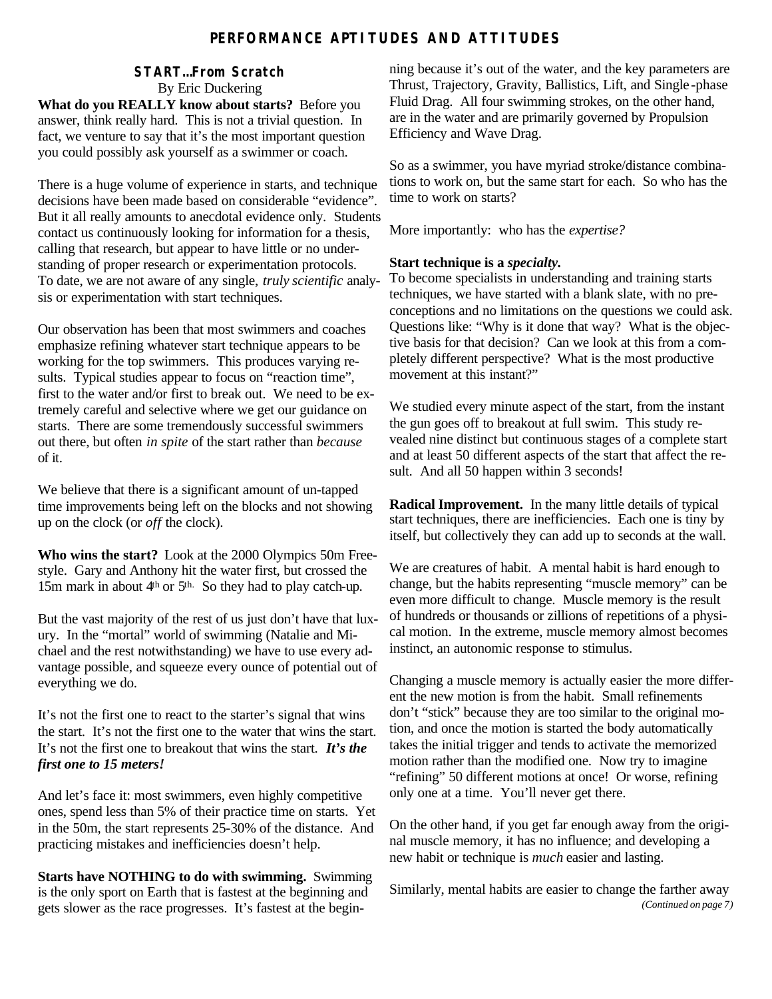# **PERFORMANCE APTITUDES AND ATTITUDES**

# **START…From Scratch** By Eric Duckering

**What do you REALLY know about starts?** Before you answer, think really hard. This is not a trivial question. In fact, we venture to say that it's the most important question you could possibly ask yourself as a swimmer or coach.

There is a huge volume of experience in starts, and technique decisions have been made based on considerable "evidence". But it all really amounts to anecdotal evidence only. Students contact us continuously looking for information for a thesis, calling that research, but appear to have little or no understanding of proper research or experimentation protocols. To date, we are not aware of any single, *truly scientific* analysis or experimentation with start techniques.

Our observation has been that most swimmers and coaches emphasize refining whatever start technique appears to be working for the top swimmers. This produces varying results. Typical studies appear to focus on "reaction time", first to the water and/or first to break out. We need to be extremely careful and selective where we get our guidance on starts. There are some tremendously successful swimmers out there, but often *in spite* of the start rather than *because*  of it*.*

We believe that there is a significant amount of un-tapped time improvements being left on the blocks and not showing up on the clock (or *off* the clock).

**Who wins the start?** Look at the 2000 Olympics 50m Freestyle. Gary and Anthony hit the water first, but crossed the 15m mark in about 4<sup>th</sup> or 5<sup>th.</sup> So they had to play catch-up.

But the vast majority of the rest of us just don't have that luxury. In the "mortal" world of swimming (Natalie and Michael and the rest notwithstanding) we have to use every advantage possible, and squeeze every ounce of potential out of everything we do.

It's not the first one to react to the starter's signal that wins the start. It's not the first one to the water that wins the start. It's not the first one to breakout that wins the start. *It's the first one to 15 meters!*

And let's face it: most swimmers, even highly competitive ones, spend less than 5% of their practice time on starts. Yet in the 50m, the start represents 25-30% of the distance. And practicing mistakes and inefficiencies doesn't help.

**Starts have NOTHING to do with swimming.** Swimming is the only sport on Earth that is fastest at the beginning and gets slower as the race progresses. It's fastest at the beginning because it's out of the water, and the key parameters are Thrust, Trajectory, Gravity, Ballistics, Lift, and Single -phase Fluid Drag. All four swimming strokes, on the other hand, are in the water and are primarily governed by Propulsion Efficiency and Wave Drag.

So as a swimmer, you have myriad stroke/distance combinations to work on, but the same start for each. So who has the time to work on starts?

More importantly: who has the *expertise?*

# **Start technique is a** *specialty.*

To become specialists in understanding and training starts techniques, we have started with a blank slate, with no preconceptions and no limitations on the questions we could ask. Questions like: "Why is it done that way? What is the objective basis for that decision? Can we look at this from a completely different perspective? What is the most productive movement at this instant?"

We studied every minute aspect of the start, from the instant the gun goes off to breakout at full swim. This study revealed nine distinct but continuous stages of a complete start and at least 50 different aspects of the start that affect the result. And all 50 happen within 3 seconds!

**Radical Improvement.** In the many little details of typical start techniques, there are inefficiencies. Each one is tiny by itself, but collectively they can add up to seconds at the wall.

We are creatures of habit. A mental habit is hard enough to change, but the habits representing "muscle memory" can be even more difficult to change. Muscle memory is the result of hundreds or thousands or zillions of repetitions of a physical motion. In the extreme, muscle memory almost becomes instinct, an autonomic response to stimulus.

Changing a muscle memory is actually easier the more different the new motion is from the habit. Small refinements don't "stick" because they are too similar to the original motion, and once the motion is started the body automatically takes the initial trigger and tends to activate the memorized motion rather than the modified one. Now try to imagine "refining" 50 different motions at once! Or worse, refining only one at a time. You'll never get there.

On the other hand, if you get far enough away from the original muscle memory, it has no influence; and developing a new habit or technique is *much* easier and lasting.

Similarly, mental habits are easier to change the farther away *(Continued on page 7)*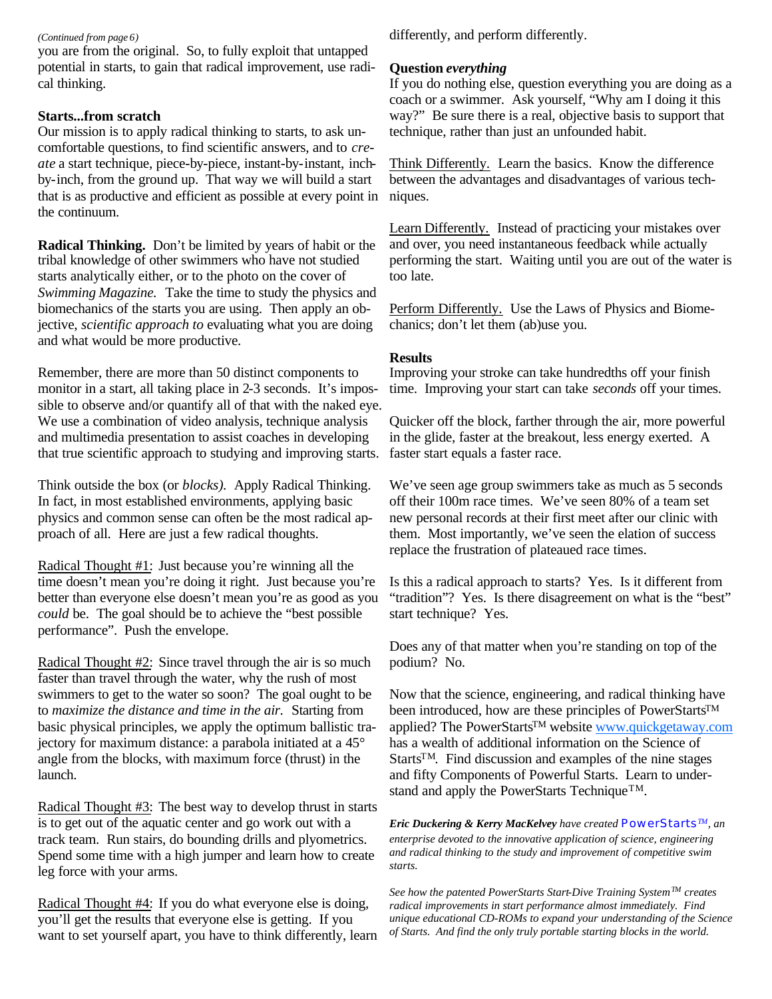#### *(Continued from page 6)*

you are from the original. So, to fully exploit that untapped potential in starts, to gain that radical improvement, use radical thinking.

# **Starts...from scratch**

Our mission is to apply radical thinking to starts, to ask uncomfortable questions, to find scientific answers, and to *create* a start technique, piece-by-piece, instant-by-instant, inchby-inch, from the ground up. That way we will build a start that is as productive and efficient as possible at every point in the continuum.

**Radical Thinking.** Don't be limited by years of habit or the tribal knowledge of other swimmers who have not studied starts analytically either, or to the photo on the cover of *Swimming Magazine.* Take the time to study the physics and biomechanics of the starts you are using. Then apply an objective, *scientific approach to* evaluating what you are doing and what would be more productive.

Remember, there are more than 50 distinct components to monitor in a start, all taking place in 2-3 seconds. It's impossible to observe and/or quantify all of that with the naked eye. We use a combination of video analysis, technique analysis and multimedia presentation to assist coaches in developing that true scientific approach to studying and improving starts.

Think outside the box (or *blocks).* Apply Radical Thinking. In fact, in most established environments, applying basic physics and common sense can often be the most radical approach of all. Here are just a few radical thoughts.

Radical Thought #1: Just because you're winning all the time doesn't mean you're doing it right. Just because you're better than everyone else doesn't mean you're as good as you *could* be. The goal should be to achieve the "best possible performance". Push the envelope.

Radical Thought #2: Since travel through the air is so much faster than travel through the water, why the rush of most swimmers to get to the water so soon? The goal ought to be to *maximize the distance and time in the air.* Starting from basic physical principles, we apply the optimum ballistic trajectory for maximum distance: a parabola initiated at a 45° angle from the blocks, with maximum force (thrust) in the launch.

Radical Thought #3: The best way to develop thrust in starts is to get out of the aquatic center and go work out with a track team. Run stairs, do bounding drills and plyometrics. Spend some time with a high jumper and learn how to create leg force with your arms.

Radical Thought #4: If you do what everyone else is doing, you'll get the results that everyone else is getting. If you want to set yourself apart, you have to think differently, learn differently, and perform differently.

# **Question** *everything*

If you do nothing else, question everything you are doing as a coach or a swimmer. Ask yourself, "Why am I doing it this way?" Be sure there is a real, objective basis to support that technique, rather than just an unfounded habit.

Think Differently. Learn the basics. Know the difference between the advantages and disadvantages of various techniques.

Learn Differently. Instead of practicing your mistakes over and over, you need instantaneous feedback while actually performing the start. Waiting until you are out of the water is too late.

Perform Differently. Use the Laws of Physics and Biomechanics; don't let them (ab)use you.

# **Results**

Improving your stroke can take hundredths off your finish time. Improving your start can take *seconds* off your times.

Quicker off the block, farther through the air, more powerful in the glide, faster at the breakout, less energy exerted. A faster start equals a faster race.

We've seen age group swimmers take as much as 5 seconds off their 100m race times. We've seen 80% of a team set new personal records at their first meet after our clinic with them. Most importantly, we've seen the elation of success replace the frustration of plateaued race times.

Is this a radical approach to starts? Yes. Is it different from "tradition"? Yes. Is there disagreement on what is the "best" start technique? Yes.

Does any of that matter when you're standing on top of the podium? No.

Now that the science, engineering, and radical thinking have been introduced, how are these principles of PowerStarts<sup>TM</sup> applied? The PowerStarts™ website www.quickgetaway.com has a wealth of additional information on the Science of StartsTM. Find discussion and examples of the nine stages and fifty Components of Powerful Starts. Learn to understand and apply the PowerStarts Technique<sup>TM</sup>.

*Eric Duckering & Kerry MacKelvey have created PowerStartsTM, an enterprise devoted to the innovative application of science, engineering and radical thinking to the study and improvement of competitive swim starts.*

*See how the patented PowerStarts Start-Dive Training SystemTM creates radical improvements in start performance almost immediately. Find unique educational CD-ROMs to expand your understanding of the Science of Starts. And find the only truly portable starting blocks in the world.*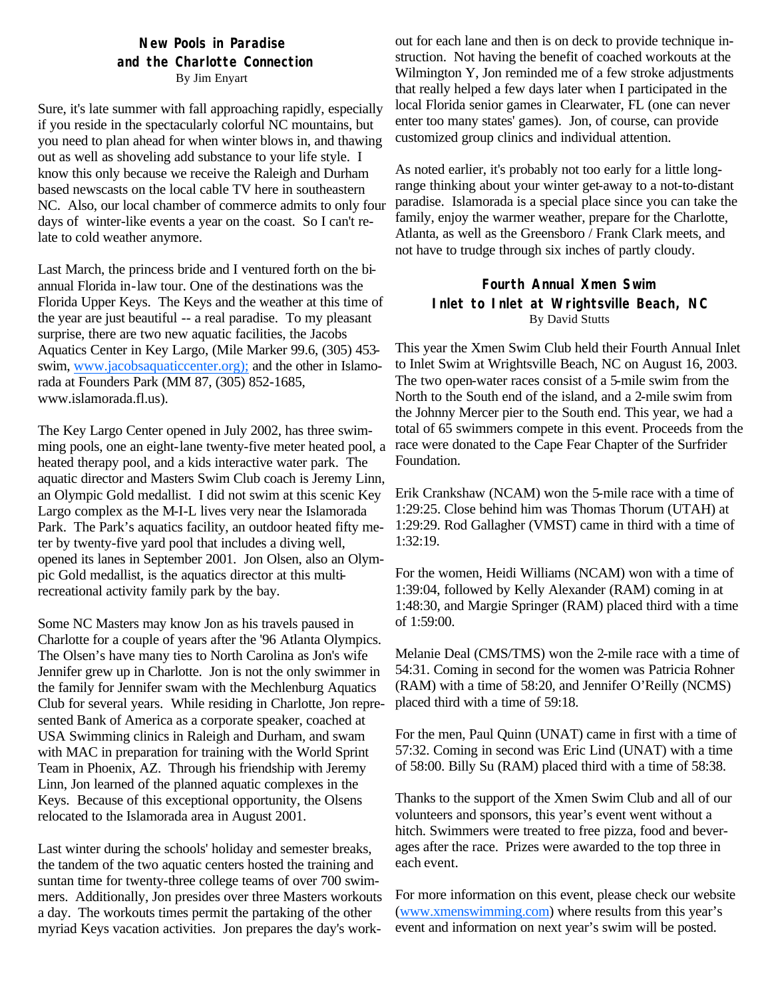# **New Pools in Paradise and the Charlotte Connection** By Jim Enyart

Sure, it's late summer with fall approaching rapidly, especially if you reside in the spectacularly colorful NC mountains, but you need to plan ahead for when winter blows in, and thawing out as well as shoveling add substance to your life style. I know this only because we receive the Raleigh and Durham based newscasts on the local cable TV here in southeastern NC. Also, our local chamber of commerce admits to only four days of winter-like events a year on the coast. So I can't relate to cold weather anymore.

Last March, the princess bride and I ventured forth on the biannual Florida in-law tour. One of the destinations was the Florida Upper Keys. The Keys and the weather at this time of the year are just beautiful -- a real paradise. To my pleasant surprise, there are two new aquatic facilities, the Jacobs Aquatics Center in Key Largo, (Mile Marker 99.6, (305) 453 swim, www.jacobsaquaticcenter.org); and the other in Islamorada at Founders Park (MM 87, (305) 852-1685, www.islamorada.fl.us).

The Key Largo Center opened in July 2002, has three swimming pools, one an eight-lane twenty-five meter heated pool, a heated therapy pool, and a kids interactive water park. The aquatic director and Masters Swim Club coach is Jeremy Linn, an Olympic Gold medallist. I did not swim at this scenic Key Largo complex as the M-I-L lives very near the Islamorada Park. The Park's aquatics facility, an outdoor heated fifty meter by twenty-five yard pool that includes a diving well, opened its lanes in September 2001. Jon Olsen, also an Olympic Gold medallist, is the aquatics director at this multirecreational activity family park by the bay.

Some NC Masters may know Jon as his travels paused in Charlotte for a couple of years after the '96 Atlanta Olympics. The Olsen's have many ties to North Carolina as Jon's wife Jennifer grew up in Charlotte. Jon is not the only swimmer in the family for Jennifer swam with the Mechlenburg Aquatics Club for several years. While residing in Charlotte, Jon represented Bank of America as a corporate speaker, coached at USA Swimming clinics in Raleigh and Durham, and swam with MAC in preparation for training with the World Sprint Team in Phoenix, AZ. Through his friendship with Jeremy Linn, Jon learned of the planned aquatic complexes in the Keys. Because of this exceptional opportunity, the Olsens relocated to the Islamorada area in August 2001.

Last winter during the schools' holiday and semester breaks, the tandem of the two aquatic centers hosted the training and suntan time for twenty-three college teams of over 700 swimmers. Additionally, Jon presides over three Masters workouts a day. The workouts times permit the partaking of the other myriad Keys vacation activities. Jon prepares the day's workout for each lane and then is on deck to provide technique instruction. Not having the benefit of coached workouts at the Wilmington Y, Jon reminded me of a few stroke adjustments that really helped a few days later when I participated in the local Florida senior games in Clearwater, FL (one can never enter too many states' games). Jon, of course, can provide customized group clinics and individual attention.

As noted earlier, it's probably not too early for a little longrange thinking about your winter get-away to a not-to-distant paradise. Islamorada is a special place since you can take the family, enjoy the warmer weather, prepare for the Charlotte, Atlanta, as well as the Greensboro / Frank Clark meets, and not have to trudge through six inches of partly cloudy.

# **Fourth Annual Xmen Swim Inlet to Inlet at Wrightsville Beach, NC** By David Stutts

This year the Xmen Swim Club held their Fourth Annual Inlet to Inlet Swim at Wrightsville Beach, NC on August 16, 2003. The two open-water races consist of a 5-mile swim from the North to the South end of the island, and a 2-mile swim from the Johnny Mercer pier to the South end. This year, we had a total of 65 swimmers compete in this event. Proceeds from the race were donated to the Cape Fear Chapter of the Surfrider Foundation.

Erik Crankshaw (NCAM) won the 5-mile race with a time of 1:29:25. Close behind him was Thomas Thorum (UTAH) at 1:29:29. Rod Gallagher (VMST) came in third with a time of 1:32:19.

For the women, Heidi Williams (NCAM) won with a time of 1:39:04, followed by Kelly Alexander (RAM) coming in at 1:48:30, and Margie Springer (RAM) placed third with a time of 1:59:00.

Melanie Deal (CMS/TMS) won the 2-mile race with a time of 54:31. Coming in second for the women was Patricia Rohner (RAM) with a time of 58:20, and Jennifer O'Reilly (NCMS) placed third with a time of 59:18.

For the men, Paul Quinn (UNAT) came in first with a time of 57:32. Coming in second was Eric Lind (UNAT) with a time of 58:00. Billy Su (RAM) placed third with a time of 58:38.

Thanks to the support of the Xmen Swim Club and all of our volunteers and sponsors, this year's event went without a hitch. Swimmers were treated to free pizza, food and beverages after the race. Prizes were awarded to the top three in each event.

For more information on this event, please check our website (www.xmenswimming.com) where results from this year's event and information on next year's swim will be posted.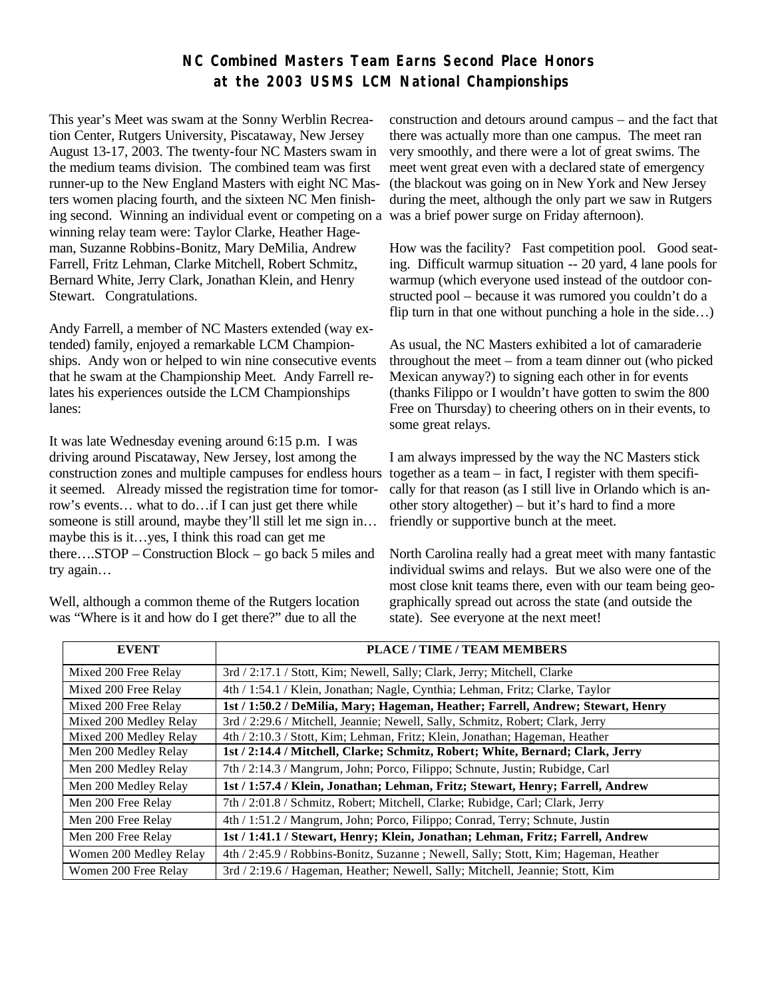# **NC Combined Masters Team Earns Second Place Honors at the 2003 USMS LCM National Championships**

This year's Meet was swam at the Sonny Werblin Recreation Center, Rutgers University, Piscataway, New Jersey August 13-17, 2003. The twenty-four NC Masters swam in the medium teams division. The combined team was first runner-up to the New England Masters with eight NC Masters women placing fourth, and the sixteen NC Men finishing second. Winning an individual event or competing on a winning relay team were: Taylor Clarke, Heather Hageman, Suzanne Robbins-Bonitz, Mary DeMilia, Andrew Farrell, Fritz Lehman, Clarke Mitchell, Robert Schmitz, Bernard White, Jerry Clark, Jonathan Klein, and Henry Stewart. Congratulations.

Andy Farrell, a member of NC Masters extended (way extended) family, enjoyed a remarkable LCM Championships. Andy won or helped to win nine consecutive events that he swam at the Championship Meet. Andy Farrell relates his experiences outside the LCM Championships lanes:

It was late Wednesday evening around 6:15 p.m. I was driving around Piscataway, New Jersey, lost among the construction zones and multiple campuses for endless hours it seemed. Already missed the registration time for tomorrow's events… what to do…if I can just get there while someone is still around, maybe they'll still let me sign in... maybe this is it…yes, I think this road can get me there….STOP – Construction Block – go back 5 miles and try again…

Well, although a common theme of the Rutgers location was "Where is it and how do I get there?" due to all the

construction and detours around campus – and the fact that there was actually more than one campus. The meet ran very smoothly, and there were a lot of great swims. The meet went great even with a declared state of emergency (the blackout was going on in New York and New Jersey during the meet, although the only part we saw in Rutgers was a brief power surge on Friday afternoon).

How was the facility? Fast competition pool. Good seating. Difficult warmup situation -- 20 yard, 4 lane pools for warmup (which everyone used instead of the outdoor constructed pool – because it was rumored you couldn't do a flip turn in that one without punching a hole in the side…)

As usual, the NC Masters exhibited a lot of camaraderie throughout the meet – from a team dinner out (who picked Mexican anyway?) to signing each other in for events (thanks Filippo or I wouldn't have gotten to swim the 800 Free on Thursday) to cheering others on in their events, to some great relays.

I am always impressed by the way the NC Masters stick together as a team – in fact, I register with them specifically for that reason (as I still live in Orlando which is another story altogether) – but it's hard to find a more friendly or supportive bunch at the meet.

North Carolina really had a great meet with many fantastic individual swims and relays. But we also were one of the most close knit teams there, even with our team being geographically spread out across the state (and outside the state). See everyone at the next meet!

| <b>EVENT</b>           | PLACE / TIME / TEAM MEMBERS                                                          |
|------------------------|--------------------------------------------------------------------------------------|
|                        |                                                                                      |
| Mixed 200 Free Relay   | 3rd / 2:17.1 / Stott, Kim; Newell, Sally; Clark, Jerry; Mitchell, Clarke             |
| Mixed 200 Free Relay   | 4th / 1:54.1 / Klein, Jonathan; Nagle, Cynthia; Lehman, Fritz; Clarke, Taylor        |
| Mixed 200 Free Relay   | 1st / 1:50.2 / DeMilia, Mary; Hageman, Heather; Farrell, Andrew; Stewart, Henry      |
| Mixed 200 Medley Relay | 3rd / 2:29.6 / Mitchell, Jeannie; Newell, Sally, Schmitz, Robert; Clark, Jerry       |
| Mixed 200 Medley Relay | 4th / 2:10.3 / Stott, Kim; Lehman, Fritz; Klein, Jonathan; Hageman, Heather          |
| Men 200 Medley Relay   | 1st / 2:14.4 / Mitchell, Clarke; Schmitz, Robert; White, Bernard; Clark, Jerry       |
| Men 200 Medley Relay   | 7th / 2:14.3 / Mangrum, John; Porco, Filippo; Schnute, Justin; Rubidge, Carl         |
| Men 200 Medley Relay   | 1st / 1:57.4 / Klein, Jonathan; Lehman, Fritz; Stewart, Henry; Farrell, Andrew       |
| Men 200 Free Relay     | 7th / 2:01.8 / Schmitz, Robert; Mitchell, Clarke; Rubidge, Carl; Clark, Jerry        |
| Men 200 Free Relay     | 4th / 1:51.2 / Mangrum, John; Porco, Filippo; Conrad, Terry; Schnute, Justin         |
| Men 200 Free Relay     | 1st / 1:41.1 / Stewart, Henry; Klein, Jonathan; Lehman, Fritz; Farrell, Andrew       |
| Women 200 Medley Relay | 4th / 2:45.9 / Robbins-Bonitz, Suzanne ; Newell, Sally; Stott, Kim; Hageman, Heather |
| Women 200 Free Relay   | 3rd / 2:19.6 / Hageman, Heather; Newell, Sally; Mitchell, Jeannie; Stott, Kim        |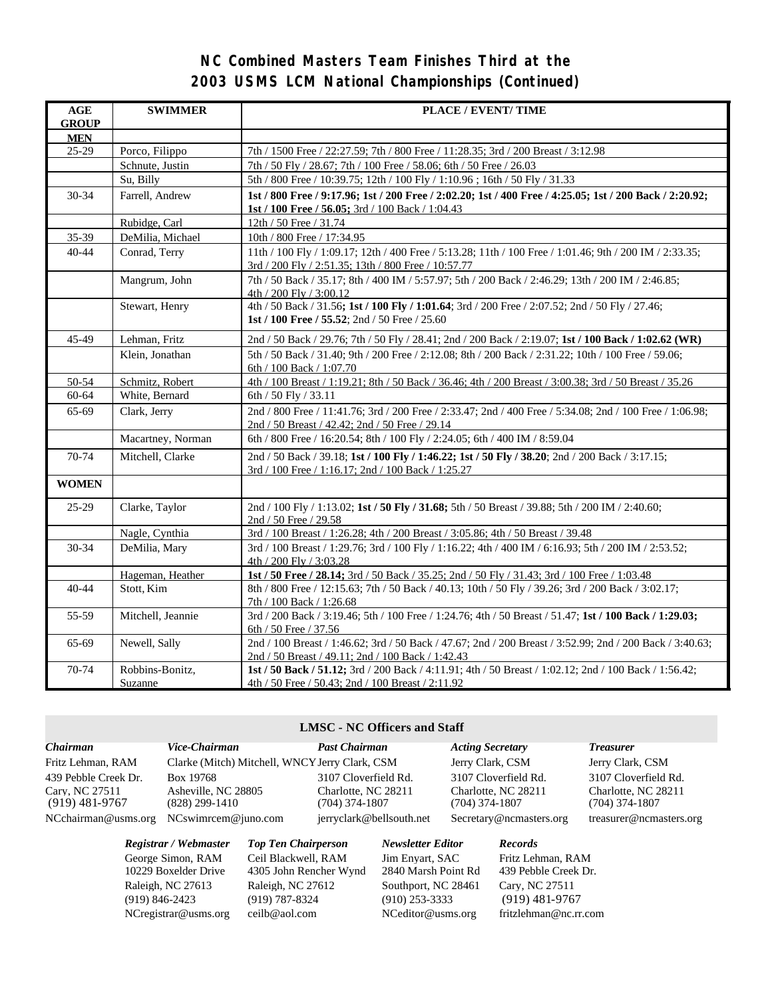# **NC Combined Masters Team Finishes Third at the 2003 USMS LCM National Championships (Continued)**

| $\mathbf{AGE}$<br><b>GROUP</b> | <b>SWIMMER</b>             | PLACE / EVENT/ TIME                                                                                                                                            |
|--------------------------------|----------------------------|----------------------------------------------------------------------------------------------------------------------------------------------------------------|
| <b>MEN</b>                     |                            |                                                                                                                                                                |
| $25-29$                        | Porco, Filippo             | 7th / 1500 Free / 22:27.59; 7th / 800 Free / 11:28.35; 3rd / 200 Breast / 3:12.98                                                                              |
|                                | Schnute, Justin            | 7th / 50 Fly / 28.67; 7th / 100 Free / 58.06; 6th / 50 Free / 26.03                                                                                            |
|                                | Su, Billy                  | 5th / 800 Free / 10:39.75; 12th / 100 Fly / 1:10.96; 16th / 50 Fly / 31.33                                                                                     |
| $30 - 34$                      | Farrell, Andrew            | 1st / 800 Free / 9:17.96; 1st / 200 Free / 2:02.20; 1st / 400 Free / 4:25.05; 1st / 200 Back / 2:20.92;<br>1st / 100 Free / 56.05; 3rd / 100 Back / 1:04.43    |
|                                | Rubidge, Carl              | 12th / 50 Free / 31.74                                                                                                                                         |
| 35-39                          | DeMilia, Michael           | 10th / 800 Free / 17:34.95                                                                                                                                     |
| $40 - 44$                      | Conrad, Terry              | 11th / 100 Fly / 1:09.17; 12th / 400 Free / 5:13.28; 11th / 100 Free / 1:01.46; 9th / 200 IM / 2:33.35;<br>3rd / 200 Fly / 2:51.35; 13th / 800 Free / 10:57.77 |
|                                | Mangrum, John              | 7th / 50 Back / 35.17; 8th / 400 IM / 5:57.97; 5th / 200 Back / 2:46.29; 13th / 200 IM / 2:46.85;<br>4th / 200 Fly / 3:00.12                                   |
|                                | Stewart, Henry             | 4th / 50 Back / 31.56; 1st / 100 Fly / 1:01.64; 3rd / 200 Free / 2:07.52; 2nd / 50 Fly / 27.46;<br>1st / 100 Free / 55.52; 2nd / 50 Free / 25.60               |
| 45-49                          | Lehman, Fritz              | 2nd / 50 Back / 29.76; 7th / 50 Fly / 28.41; 2nd / 200 Back / 2:19.07; 1st / 100 Back / 1:02.62 (WR)                                                           |
|                                | Klein, Jonathan            | 5th / 50 Back / 31.40; 9th / 200 Free / 2:12.08; 8th / 200 Back / 2:31.22; 10th / 100 Free / 59.06;<br>6th / 100 Back / 1:07.70                                |
| 50-54                          | Schmitz, Robert            | 4th / 100 Breast / 1:19.21; 8th / 50 Back / 36.46; 4th / 200 Breast / 3:00.38; 3rd / 50 Breast / 35.26                                                         |
| 60-64                          | White, Bernard             | 6th / 50 Fly / 33.11                                                                                                                                           |
| 65-69                          | Clark, Jerry               | 2nd / 800 Free / 11:41.76; 3rd / 200 Free / 2:33.47; 2nd / 400 Free / 5:34.08; 2nd / 100 Free / 1:06.98;<br>2nd / 50 Breast / 42.42; 2nd / 50 Free / 29.14     |
|                                | Macartney, Norman          | 6th / 800 Free / 16:20.54; 8th / 100 Fly / 2:24.05; 6th / 400 IM / 8:59.04                                                                                     |
| 70-74                          | Mitchell, Clarke           | 2nd / 50 Back / 39.18; 1st / 100 Fly / 1:46.22; 1st / 50 Fly / 38.20; 2nd / 200 Back / 3:17.15;<br>3rd / 100 Free / 1:16.17; 2nd / 100 Back / 1:25.27          |
| <b>WOMEN</b>                   |                            |                                                                                                                                                                |
| 25-29                          | Clarke, Taylor             | 2nd / 100 Fly / 1:13.02; 1st / 50 Fly / 31.68; 5th / 50 Breast / 39.88; 5th / 200 IM / 2:40.60;<br>2nd / 50 Free / 29.58                                       |
|                                | Nagle, Cynthia             | 3rd / 100 Breast / 1:26.28; 4th / 200 Breast / 3:05.86; 4th / 50 Breast / 39.48                                                                                |
| 30-34                          | DeMilia, Mary              | 3rd / 100 Breast / 1:29.76; 3rd / 100 Fly / 1:16.22; 4th / 400 IM / 6:16.93; 5th / 200 IM / 2:53.52;<br>$4th / 200$ Fly $/ 3:03.28$                            |
|                                | Hageman, Heather           | 1st / 50 Free / 28.14; 3rd / 50 Back / 35.25; 2nd / 50 Fly / 31.43; 3rd / 100 Free / 1:03.48                                                                   |
| 40-44                          | Stott, Kim                 | 8th / 800 Free / 12:15.63; 7th / 50 Back / 40.13; 10th / 50 Fly / 39.26; 3rd / 200 Back / 3:02.17;<br>7th / 100 Back / 1:26.68                                 |
| 55-59                          | Mitchell, Jeannie          | 3rd / 200 Back / 3:19.46; 5th / 100 Free / 1:24.76; 4th / 50 Breast / 51.47; 1st / 100 Back / 1:29.03;<br>6th / 50 Free / 37.56                                |
| 65-69                          | Newell, Sally              | 2nd / 100 Breast / 1:46.62; 3rd / 50 Back / 47.67; 2nd / 200 Breast / 3:52.99; 2nd / 200 Back / 3:40.63;<br>2nd / 50 Breast / 49.11; 2nd / 100 Back / 1:42.43  |
| 70-74                          | Robbins-Bonitz,<br>Suzanne | 1st / 50 Back / 51.12; 3rd / 200 Back / 4:11.91; 4th / 50 Breast / 1:02.12; 2nd / 100 Back / 1:56.42;<br>4th / 50 Free / 50.43; 2nd / 100 Breast / 2:11.92     |

#### **LMSC - NC Officers and Staff**

| Chairman             | Vice-Chairman                                  | <b>Past Chairman</b>     | <b>Acting Secretary</b> | <i>Treasurer</i>        |
|----------------------|------------------------------------------------|--------------------------|-------------------------|-------------------------|
| Fritz Lehman, RAM    | Clarke (Mitch) Mitchell, WNCY Jerry Clark, CSM |                          | Jerry Clark, CSM        | Jerry Clark, CSM        |
| 439 Pebble Creek Dr. | Box 19768                                      | 3107 Cloverfield Rd.     | 3107 Cloverfield Rd.    | 3107 Cloverfield Rd.    |
| Carv. NC 27511       | Asheville, NC 28805                            | Charlotte, NC 28211      | Charlotte, NC 28211     | Charlotte, NC 28211     |
| $(919)$ 481-9767     | $(828)$ 299-1410                               | $(704)$ 374-1807         | $(704)$ 374-1807        | (704) 374-1807          |
| NCchairman@usms.org  | $NCswim$ cem $@juno.com$                       | jerryclark@bellsouth.net | Secretary@ncmasters.org | treasurer@ncmasters.org |

NCregistrar@usms.org ceilb@aol.com NCeditor@usms.org fritzlehman@nc.rr.com

*Registrar / Webmaster Top Ten Chairperson Newsletter Editor Records* George Simon, RAM Ceil Blackwell, RAM Jim Enyart, SAC Fritz Lehman, RAM 10229 Boxelder Drive 4305 John Rencher Wynd 2840 Marsh Point Rd 439 Pebble Creek Dr. Raleigh, NC 27613 Raleigh, NC 27612 Southport, NC 28461 Cary, NC 27511 (919) 846-2423 (919) 787-8324 (910) 253-3333 (919) 481-9767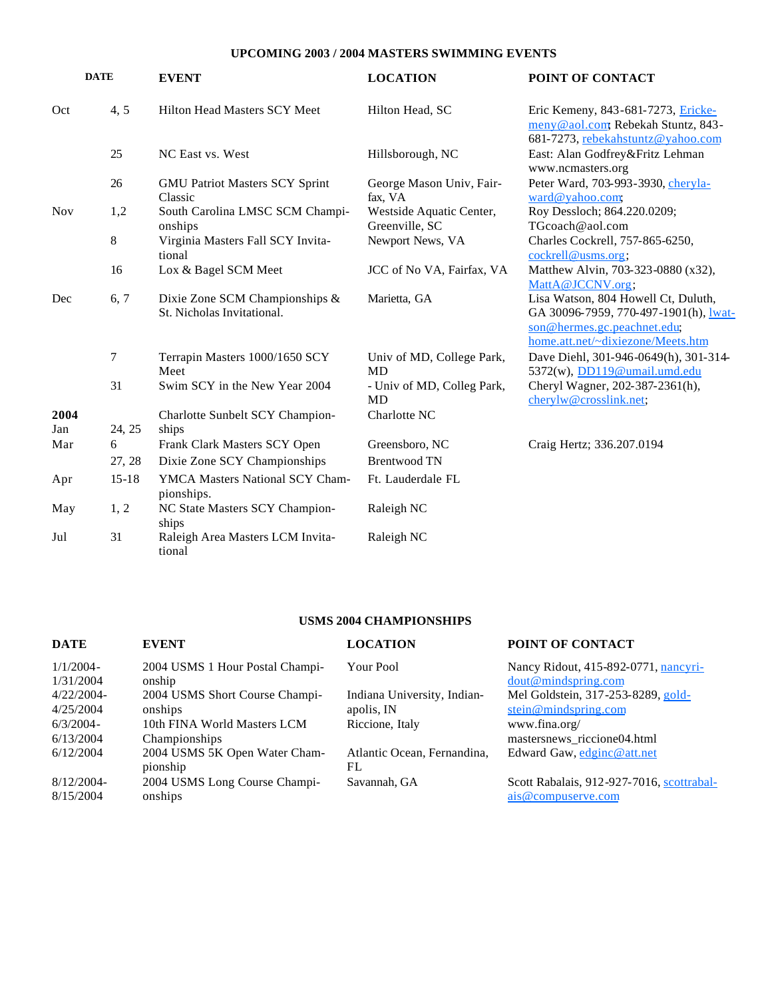#### **UPCOMING 2003 / 2004 MASTERS SWIMMING EVENTS**

|            | <b>DATE</b> | <b>EVENT</b>                                                 | <b>LOCATION</b>                            | POINT OF CONTACT                                                                                                                                 |
|------------|-------------|--------------------------------------------------------------|--------------------------------------------|--------------------------------------------------------------------------------------------------------------------------------------------------|
| Oct        | 4, 5        | <b>Hilton Head Masters SCY Meet</b>                          | Hilton Head, SC                            | Eric Kemeny, 843-681-7273, Ericke-<br>meny@aol.com Rebekah Stuntz, 843-<br>681-7273, rebekahstuntz@yahoo.com                                     |
|            | 25          | NC East vs. West                                             | Hillsborough, NC                           | East: Alan Godfrey&Fritz Lehman<br>www.ncmasters.org                                                                                             |
|            | 26          | <b>GMU Patriot Masters SCY Sprint</b><br>Classic             | George Mason Univ, Fair-<br>fax, VA        | Peter Ward, 703-993-3930, cheryla-<br>ward@yahoo.com,                                                                                            |
| <b>Nov</b> | 1,2         | South Carolina LMSC SCM Champi-<br>onships                   | Westside Aquatic Center,<br>Greenville, SC | Roy Dessloch; 864.220.0209;<br>TGcoach@aol.com                                                                                                   |
|            | $8\,$       | Virginia Masters Fall SCY Invita-<br>tional                  | Newport News, VA                           | Charles Cockrell, 757-865-6250,<br>cockrell@uss.org;                                                                                             |
|            | 16          | Lox & Bagel SCM Meet                                         | JCC of No VA, Fairfax, VA                  | Matthew Alvin, 703-323-0880 (x32),<br>MattA@JCCNV.org;                                                                                           |
| Dec        | 6, 7        | Dixie Zone SCM Championships &<br>St. Nicholas Invitational. | Marietta, GA                               | Lisa Watson, 804 Howell Ct, Duluth,<br>GA 30096-7959, 770-497-1901(h), lwat-<br>son@hermes.gc.peachnet.edu;<br>home.att.net/~dixiezone/Meets.htm |
|            | 7           | Terrapin Masters 1000/1650 SCY<br>Meet                       | Univ of MD, College Park,<br><b>MD</b>     | Dave Diehl, 301-946-0649(h), 301-314-<br>5372(w), DD119@umail.umd.edu                                                                            |
|            | 31          | Swim SCY in the New Year 2004                                | - Univ of MD, Colleg Park,<br>MD           | Cheryl Wagner, 202-387-2361(h),<br>cherylw@crosslink.net;                                                                                        |
| 2004       |             | Charlotte Sunbelt SCY Champion-                              | Charlotte NC                               |                                                                                                                                                  |
| Jan        | 24, 25      | ships                                                        |                                            |                                                                                                                                                  |
| Mar        | 6           | Frank Clark Masters SCY Open                                 | Greensboro, NC                             | Craig Hertz; 336.207.0194                                                                                                                        |
|            | 27, 28      | Dixie Zone SCY Championships                                 | <b>Brentwood TN</b>                        |                                                                                                                                                  |
| Apr        | $15 - 18$   | YMCA Masters National SCY Cham-<br>pionships.                | Ft. Lauderdale FL                          |                                                                                                                                                  |
| May        | 1, 2        | NC State Masters SCY Champion-<br>ships                      | Raleigh NC                                 |                                                                                                                                                  |
| Jul        | 31          | Raleigh Area Masters LCM Invita-<br>tional                   | Raleigh NC                                 |                                                                                                                                                  |

# **USMS 2004 CHAMPIONSHIPS**

| <b>DATE</b>   | <b>EVENT</b>                              | <b>LOCATION</b>                   | POINT OF CONTACT                          |
|---------------|-------------------------------------------|-----------------------------------|-------------------------------------------|
| $1/1/2004-$   | 2004 USMS 1 Hour Postal Champi-           | Your Pool                         | Nancy Ridout, 415-892-0771, nancyri-      |
| 1/31/2004     | onship                                    |                                   | dout@mindspring.com                       |
| $4/22/2004-$  | 2004 USMS Short Course Champi-            | Indiana University, Indian-       | Mel Goldstein, 317-253-8289, gold-        |
| 4/25/2004     | onships                                   | apolis, IN                        | stein@mindspring.com                      |
| $6/3/2004 -$  | 10th FINA World Masters LCM               | Riccione, Italy                   | www.fina.org/                             |
| 6/13/2004     | Championships                             |                                   | mastersnews_riccione04.html               |
| 6/12/2004     | 2004 USMS 5K Open Water Cham-<br>pionship | Atlantic Ocean, Fernandina,<br>FL | Edward Gaw, edginc@att.net                |
| $8/12/2004$ - | 2004 USMS Long Course Champi-             | Savannah, GA                      | Scott Rabalais, 912-927-7016, scottrabal- |
| 8/15/2004     | onships                                   |                                   | ais@compuserve.com                        |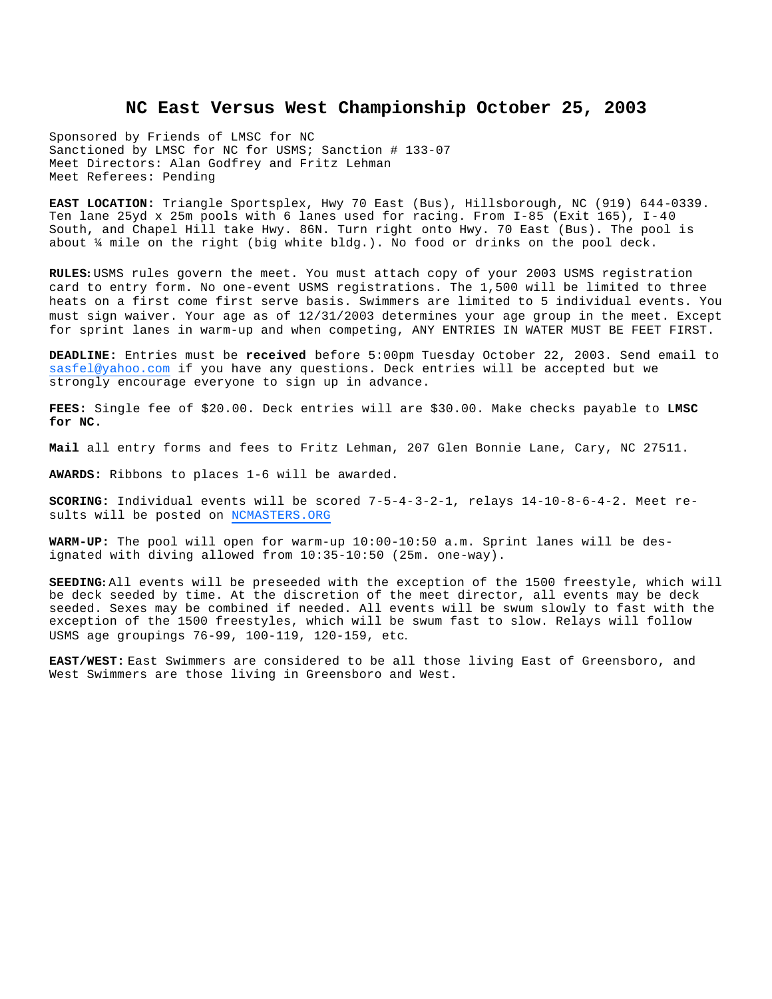#### **NC East Versus West Championship October 25, 2003**

Sponsored by Friends of LMSC for NC Sanctioned by LMSC for NC for USMS; Sanction # 133-07 Meet Directors: Alan Godfrey and Fritz Lehman Meet Referees: Pending

**EAST LOCATION:** Triangle Sportsplex, Hwy 70 East (Bus), Hillsborough, NC (919) 644-0339. Ten lane 25yd x 25m pools with 6 lanes used for racing. From I-85 (Exit 165), I-40 South, and Chapel Hill take Hwy. 86N. Turn right onto Hwy. 70 East (Bus). The pool is about ¼ mile on the right (big white bldg.). No food or drinks on the pool deck.

**RULES:** USMS rules govern the meet. You must attach copy of your 2003 USMS registration card to entry form. No one-event USMS registrations. The 1,500 will be limited to three heats on a first come first serve basis. Swimmers are limited to 5 individual events. You must sign waiver. Your age as of 12/31/2003 determines your age group in the meet. Except for sprint lanes in warm-up and when competing, ANY ENTRIES IN WATER MUST BE FEET FIRST.

**DEADLINE:** Entries must be **received** before 5:00pm Tuesday October 22, 2003. Send email to sasfel@yahoo.com if you have any questions. Deck entries will be accepted but we strongly encourage everyone to sign up in advance.

**FEES:** Single fee of \$20.00. Deck entries will are \$30.00. Make checks payable to **LMSC for NC.**

**Mail** all entry forms and fees to Fritz Lehman, 207 Glen Bonnie Lane, Cary, NC 27511.

**AWARDS:** Ribbons to places 1-6 will be awarded.

**SCORING:** Individual events will be scored 7-5-4-3-2-1, relays 14-10-8-6-4-2. Meet results will be posted on NCMASTERS.ORG

**WARM-UP:** The pool will open for warm-up 10:00-10:50 a.m. Sprint lanes will be designated with diving allowed from 10:35-10:50 (25m. one-way).

**SEEDING:** All events will be preseeded with the exception of the 1500 freestyle, which will be deck seeded by time. At the discretion of the meet director, all events may be deck seeded. Sexes may be combined if needed. All events will be swum slowly to fast with the exception of the 1500 freestyles, which will be swum fast to slow. Relays will follow USMS age groupings 76-99, 100-119, 120-159, etc.

**EAST/WEST:** East Swimmers are considered to be all those living East of Greensboro, and West Swimmers are those living in Greensboro and West.